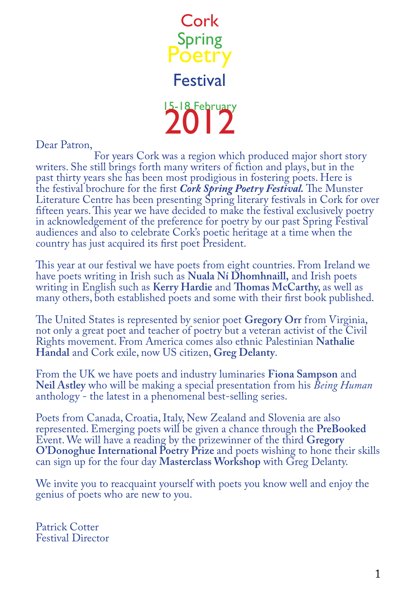

Dear Patron,

 For years Cork was a region which produced major short story writers. She still brings forth many writers of fiction and plays, but in the past thirty years she has been most prodigious in fostering poets. Here is the festival brochure for the first *Cork Spring Poetry Festival.* The Munster Literature Centre has been presenting Spring literary festivals in Cork for over fifteen years. This year we have decided to make the festival exclusively poetry in acknowledgement of the preference for poetry by our past Spring Festival audiences and also to celebrate Cork's poetic heritage at a time when the country has just acquired its first poet President.

This year at our festival we have poets from eight countries. From Ireland we have poets writing in Irish such as **Nuala Ní Dhomhnaill,** and Irish poets writing in English such as **Kerry Hardie** and **Thomas McCarthy,** as well as many others, both established poets and some with their first book published.

The United States is represented by senior poet **Gregory Orr** from Virginia, not only a great poet and teacher of poetry but a veteran activist of the Civil Rights movement. From America comes also ethnic Palestinian **Nathalie Handal** and Cork exile, now US citizen, **Greg Delanty**.

From the UK we have poets and industry luminaries **Fiona Sampson** and **Neil Astley** who will be making a special presentation from his *Being Human* anthology - the latest in a phenomenal best-selling series.

Poets from Canada, Croatia, Italy, New Zealand and Slovenia are also represented. Emerging poets will be given a chance through the **PreBooked** Event. We will have a reading by the prizewinner of the third **Gregory O'Donoghue International Poetry Prize** and poets wishing to hone their skills can sign up for the four day **Masterclass Workshop** with Greg Delanty.

We invite you to reacquaint yourself with poets you know well and enjoy the genius of poets who are new to you.

Patrick Cotter Festival Director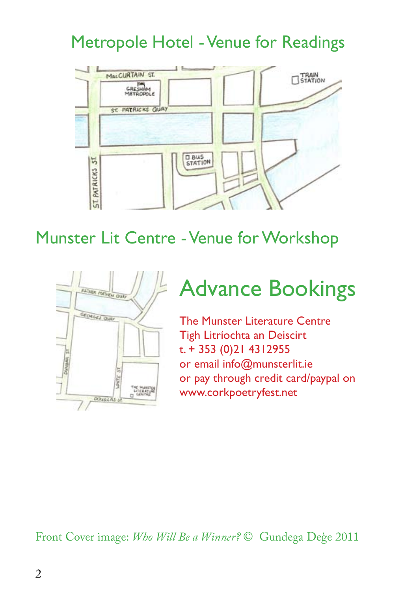#### Metropole Hotel - Venue for Readings



#### Munster Lit Centre - Venue for Workshop



## Advance Bookings

The Munster Literature Centre Tigh Litríochta an Deiscirt t. + 353 (0)21 4312955 or email info@munsterlit.ie or pay through credit card/paypal on www.corkpoetryfest.net

Front Cover image: *Who Will Be a Winner?* © Gundega Deģe 2011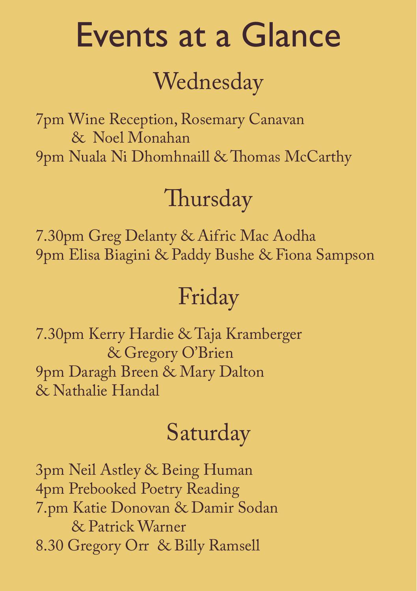# Events at a Glance

# Wednesday

7pm Wine Reception, Rosemary Canavan & Noel Monahan 9pm Nuala Ni Dhomhnaill & Thomas McCarthy

# Thursday

7.30pm Greg Delanty & Aifric Mac Aodha 9pm Elisa Biagini & Paddy Bushe & Fiona Sampson

# Friday

7.30pm Kerry Hardie & Taja Kramberger & Gregory O'Brien 9pm Daragh Breen & Mary Dalton & Nathalie Handal

# Saturday

3pm Neil Astley & Being Human 4pm Prebooked Poetry Reading 7.pm Katie Donovan & Damir Sodan & Patrick Warner 8.30 Gregory Orr & Billy Ramsell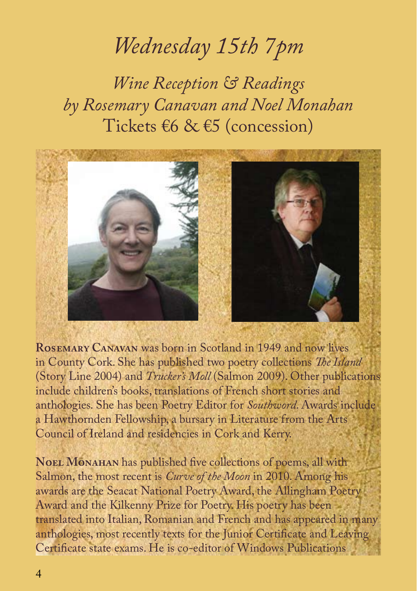## *Wednesday 15th 7pm*

*Wine Reception & Readings by Rosemary Canavan and Noel Monahan* Tickets €6 & €5 (concession)



**Rosemary Canavan** was born in Scotland in 1949 and now lives in County Cork. She has published two poetry collections *The Island*  (Story Line 2004) and *Trucker's Moll* (Salmon 2009). Other publications include children's books, translations of French short stories and anthologies. She has been Poetry Editor for *Southword*. Awards include a Hawthornden Fellowship, a bursary in Literature from the Arts Council of Ireland and residencies in Cork and Kerry.

**NOEL MONAHAN** has published five collections of poems, all with Salmon, the most recent is *Curve of the Moon* in 2010. Among his awards are the Seacat National Poetry Award, the Allingham Poetry Award and the Kilkenny Prize for Poetry. His poetry has been translated into Italian, Romanian and French and has appeared in many anthologies, most recently texts for the Junior Certificate and Leaving Certificate state exams. He is co-editor of Windows Publications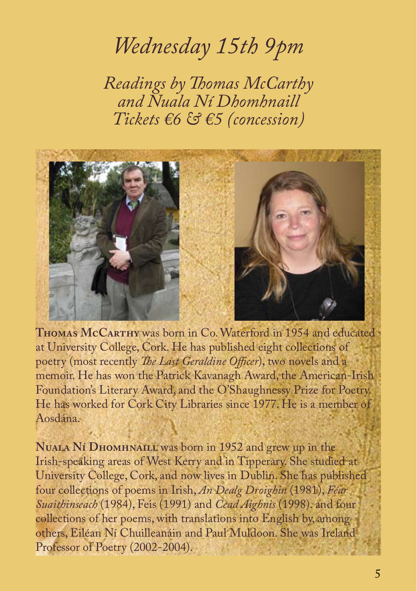## *Wednesday 15th 9pm*

*Readings by Thomas McCarthy and Nuala Ní Dhomhnaill Tickets €6 & €5 (concession)*



**Thomas McCarthy** was born in Co. Waterford in 1954 and educated at University College, Cork. He has published eight collections of poetry (most recently *The Last Geraldine Officer*), two novels and a memoir. He has won the Patrick Kavanagh Award, the American-Irish Foundation's Literary Award, and the O'Shaughnessy Prize for Poetry. He has worked for Cork City Libraries since 1977. He is a member of Aosdána.

**Nuala Ní Dhomhnaill** was born in 1952 and grew up in the Irish-speaking areas of West Kerry and in Tipperary. She studied at University College, Cork, and now lives in Dublin. She has published four collections of poems in Irish, *An Dealg Droighin* (1981), *Féar Suaithinseach* (1984), Feis (1991) and *Cead Aighnis* (1998). and four collections of her poems, with translations into English by, among others, Eiléan Ní Chuilleanáin and Paul Muldoon. She was Ireland Professor of Poetry (2002-2004).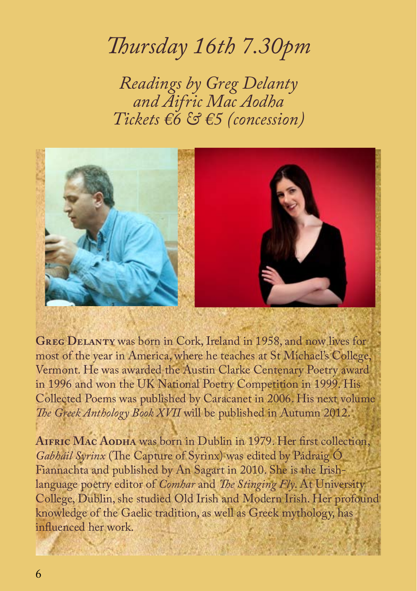### *Thursday 16th 7.30pm*

*Readings by Greg Delanty and Aifric Mac Aodha Tickets €6 & €5 (concession)*



**Greg Delanty** was born in Cork, Ireland in 1958, and now lives for most of the year in America, where he teaches at St Michael's College, Vermont. He was awarded the Austin Clarke Centenary Poetry award in 1996 and won the UK National Poetry Competition in 1999. His Collected Poems was published by Caracanet in 2006. His next volume *The Greek Anthology Book XVII* will be published in Autumn 2012.

**Aifric Mac Aodha** was born in Dublin in 1979. Her first collection, *Gabháil Syrinx* (The Capture of Syrinx) was edited by Pádraig Ó Fiannachta and published by An Sagart in 2010. She is the Irishlanguage poetry editor of *Comhar* and *The Stinging Fly*. At University College, Dublin, she studied Old Irish and Modern Irish. Her profound knowledge of the Gaelic tradition, as well as Greek mythology, has influenced her work.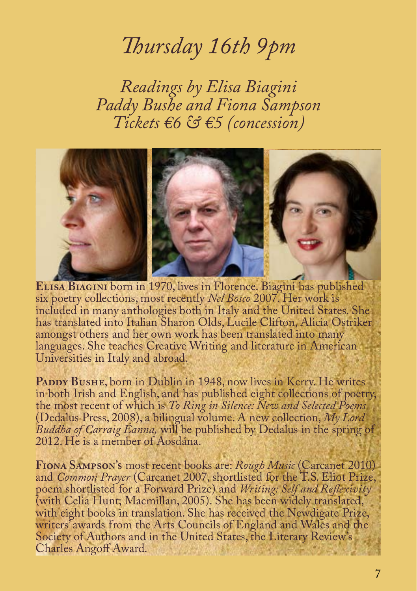#### *Thursday 16th 9pm*

*Readings by Elisa Biagini Paddy Bushe and Fiona Sampson Tickets €6 & €5 (concession)*



**Elisa Biagini** born in 1970, lives in Florence. Biagini has published six poetry collections, most recently *Nel Bosco* 2007. Her work is included in many anthologies both in Italy and the United States. She has translated into Italian Sharon Olds, Lucile Clifton, Alicia Ostriker amongst others and her own work has been translated into many languages. She teaches Creative Writing and literature in American Universities in Italy and abroad.

PADDY BUSHE, born in Dublin in 1948, now lives in Kerry. He writes in both Irish and English, and has published eight collections of poetry, the most recent of which is *To Ring in Silence: New and Selected Poems* (Dedalus Press, 2008), a bilingual volume. A new collection, *My Lord Buddha of Carraig Éanna,* will be published by Dedalus in the spring of 2012. He is a member of Aosdána.

**Fiona Sampson's** most recent books are: *Rough Music* (Carcanet 2010) and *Common Prayer* (Carcanet 2007, shortlisted for the T.S. Eliot Prize, poem shortlisted for a Forward Prize) and *Writing: Self and Reflexivity*  (with Celia Hunt; Macmillan, 2005). She has been widely translated, with eight books in translation. She has received the Newdigate Prize, writers' awards from the Arts Councils of England and Wales and the Society of Authors and in the United States, the Literary Review's Charles Angoff Award.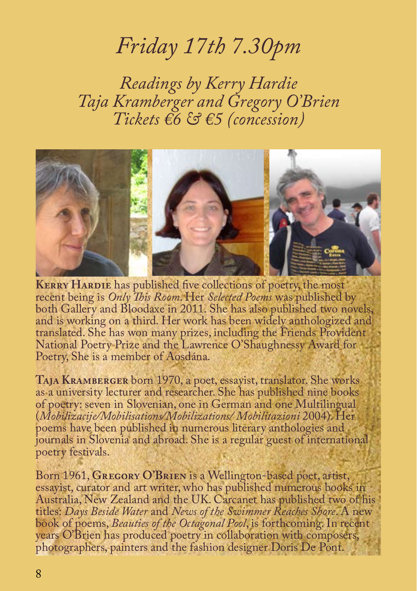#### *Friday 17th 7.30pm*

*Readings by Kerry Hardie Taja Kramberger and Gregory O'Brien Tickets €6 & €5 (concession)*



**KERRY HARDIE** has published five collections of poetry, the most recent being is *Only This Room*. Her *Selected Poems* was published by both Gallery and Bloodaxe in 2011. She has also published two novels, and is working on a third. Her work has been widely anthologized and translated. She has won many prizes, including the Friends Provident National Poetry Prize and the Lawrence O'Shaughnessy Award for Poetry, She is a member of Aosdána.

**Taja Kramberger** born 1970, a poet, essayist, translator. She works as a university lecturer and researcher. She has published nine books of poetry: seven in Slovenian, one in German and one Multilingual (*Mobilizacije/Mobilisations/Mobilizations/ Mobilitazioni* 2004). Her poems have been published in numerous literary anthologies and journals in Slovenia and abroad. She is a regular guest of international poetry festivals.

Born 1961, **Gregory O'Brien** is a Wellington-based poet, artist, essayist, curator and art writer, who has published numerous books in Australia, New Zealand and the UK. Carcanet has published two of his titles: *Days Beside Water* and *News of the Swimmer Reaches Shore*. A new book of poems, *Beauties of the Octagonal Pool*, is forthcoming. In recent years O'Brien has produced poetry in collaboration with composers, photographers, painters and the fashion designer Doris De Pont.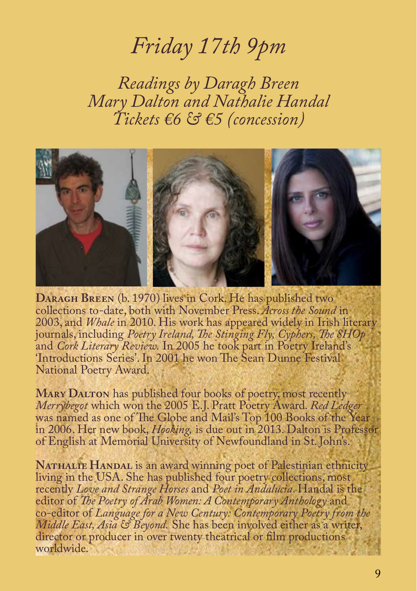#### *Friday 17th 9pm*

*Readings by Daragh Breen Mary Dalton and Nathalie Handal Tickets €6 & €5 (concession)*



**Daragh Breen** (b. 1970) lives in Cork. He has published two collections to-date, both with November Press. *Across the Sound* in 2003, and *Whale* in 2010. His work has appeared widely in Irish literary journals, including *Poetry Ireland, The Stinging Fly, Cyphers, The SHOp*  and *Cork Literary Review.* In 2005 he took part in Poetry Ireland's 'Introductions Series'. In 2001 he won The Sean Dunne Festival National Poetry Award.

**MARY DALTON** has published four books of poetry, most recently *Merrybegot* which won the 2005 E.J. Pratt Poetry Award. *Red Ledger*  was named as one of The Globe and Mail's Top 100 Books of the Year in 2006. Her new book, *Hooking,* is due out in 2013. Dalton is Professor of English at Memorial University of Newfoundland in St. John's.

NATHALIE HANDAL is an award winning poet of Palestinian ethnicity living in the USA. She has published four poetry collections, most recently *Love and Strange Horses* and *Poet in Andalucia*. Handal is the editor of *The Poetry of Arab Women: A Contemporary Anthology* and co-editor of *Language for a New Century: Contemporary Poetry from the Middle East, Asia & Beyond.* She has been involved either as a writer, director or producer in over twenty theatrical or film productions worldwide.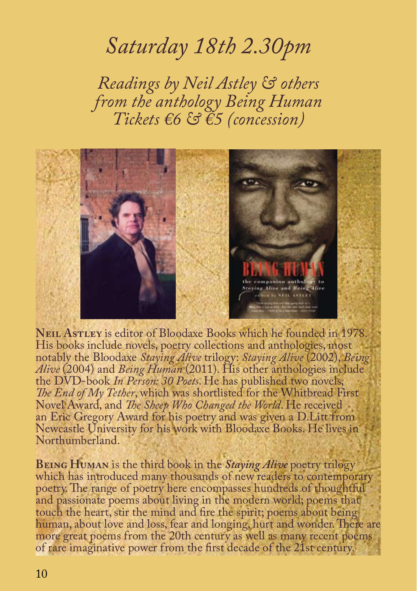#### *Saturday 18th 2.30pm*

*Readings by Neil Astley & others from the anthology Being Human Tickets €6 & €5 (concession)*



**Neil Astley** is editor of Bloodaxe Books which he founded in 1978. His books include novels, poetry collections and anthologies, most notably the Bloodaxe *Staying Alive* trilogy: *Staying Alive* (2002), *Being Alive* (2004) and *Being Human* (2011). His other anthologies include the DVD-book *In Person: 30 Poets*. He has published two novels, *The End of My Tether*, which was shortlisted for the Whitbread First Novel Award, and *The Sheep Who Changed the World*. He received an Eric Gregory Award for his poetry and was given a D.Litt from Newcastle University for his work with Bloodaxe Books. He lives in Northumberland.

**Being Human** is the third book in the *Staying Alive* poetry trilogy which has introduced many thousands of new readers to contemporary poetry. The range of poetry here encompasses hundreds of thoughtful and passionate poems about living in the modern world; poems that touch the heart, stir the mind and fire the spirit; poems about being human, about love and loss, fear and longing, hurt and wonder. There are more great poems from the 20th century as well as many recent poems of rare imaginative power from the first decade of the 21st century.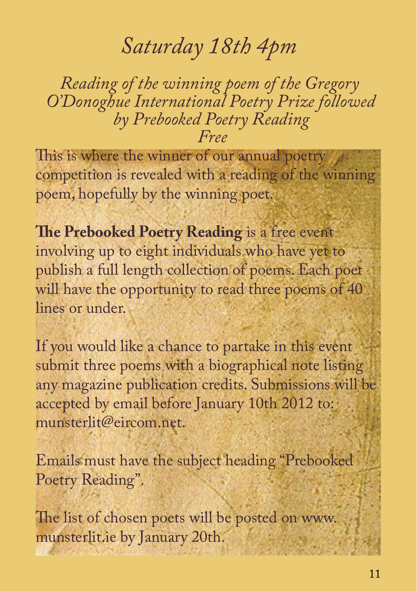### *Saturday 18th 4pm*

*Reading of the winning poem of the Gregory O'Donoghue International Poetry Prize followed by Prebooked Poetry Reading Free*

This is where the winner of our annual poetry competition is revealed with a reading of the winning poem, hopefully by the winning poet.

**The Prebooked Poetry Reading** is a free event involving up to eight individuals who have yet to publish a full length collection of poems. Each poet will have the opportunity to read three poems of 40 lines or under.

If you would like a chance to partake in this event submit three poems with a biographical note listing any magazine publication credits. Submissions will be accepted by email before January 10th 2012 to: munsterlit@eircom.net.

Emails must have the subject heading "Prebooked Poetry Reading".

The list of chosen poets will be posted on www. munsterlit.ie by January 20th.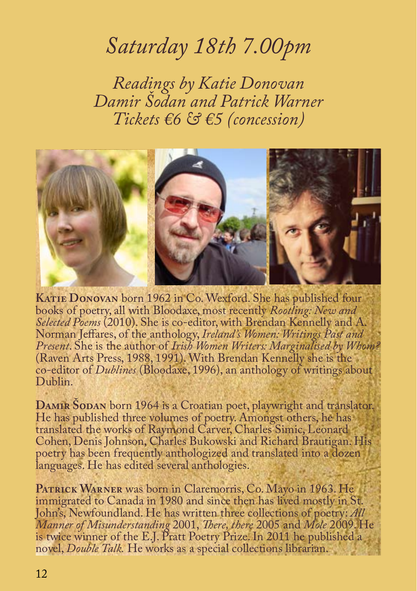### *Saturday 18th 7.00pm*

*Readings by Katie Donovan Damir Šodan and Patrick Warner Tickets €6 & €5 (concession)*



**Katie Donovan** born 1962 in Co. Wexford. She has published four books of poetry, all with Bloodaxe, most recently *Rootling: New and Selected Poems* (2010). She is co-editor, with Brendan Kennelly and A. Norman Jeffares, of the anthology, *Ireland's Women: Writings Past and Present*. She is the author of *Irish Women Writers: Marginalised by Whom?*  (Raven Arts Press, 1988, 1991). With Brendan Kennelly she is the co-editor of *Dublines* (Bloodaxe, 1996), an anthology of writings about Dublin.

DAMIR **ŠODAN** born 1964 is a Croatian poet, playwright and translator. He has published three volumes of poetry. Amongst others, he has translated the works of Raymond Carver, Charles Simic, Leonard Cohen, Denis Johnson, Charles Bukowski and Richard Brautigan. His poetry has been frequently anthologized and translated into a dozen languages. He has edited several anthologies.

PATRICK WARNER was born in Claremorris, Co. Mayo in 1963. He immigrated to Canada in 1980 and since then has lived mostly in St. John's, Newfoundland. He has written three collections of poetry: *All Manner of Misunderstanding* 2001, *There, there* 2005 and *Mole* 2009. He is twice winner of the E.J. Pratt Poetry Prize. In 2011 he published a novel, *Double Talk.* He works as a special collections librarian.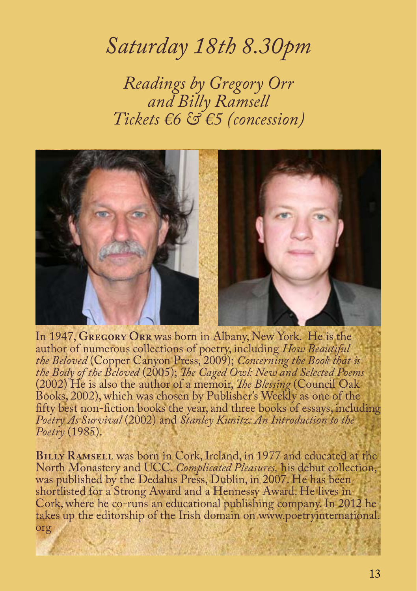#### *Saturday 18th 8.30pm*

*Readings by Gregory Orr and Billy Ramsell Tickets €6 & €5 (concession)*



In 1947, **Gregory Orr** was born in Albany, New York. He is the author of numerous collections of poetry, including *How Beautiful the Beloved* (Copper Canyon Press, 2009); *Concerning the Book that is the Body of the Beloved* (2005); *The Caged Owl: New and Selected Poems* (2002) He is also the author of a memoir, *The Blessing* (Council Oak Books, 2002), which was chosen by Publisher's Weekly as one of the fifty best non-fiction books the year, and three books of essays, including *Poetry As Survival* (2002) and *Stanley Kunitz: An Introduction to the Poetry* (1985).

**BILLY RAMSELL** was born in Cork, Ireland, in 1977 and educated at the North Monastery and UCC. *Complicated Pleasures,* his debut collection, was published by the Dedalus Press, Dublin, in 2007. He has been shortlisted for a Strong Award and a Hennessy Award. He lives in Cork, where he co-runs an educational publishing company. In 2012 he takes up the editorship of the Irish domain on www.poetryinternational. org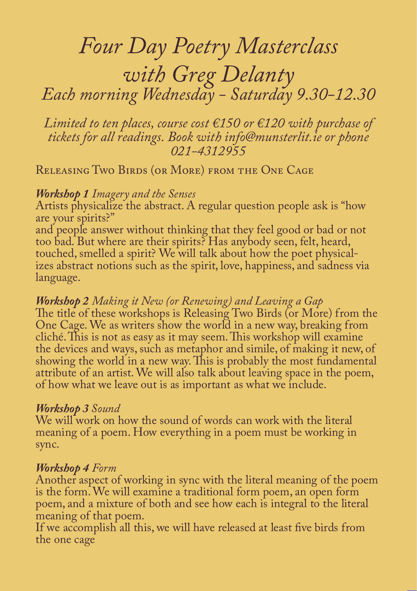# *Four Day Poetry Masterclass with Greg Delanty Each morning Wednesday - Saturday 9.30-12.30*

*Limited to ten places, course cost €150 or €120 with purchase of tickets for all readings. Book with info@munsterlit.ie or phone 021-4312955*

Releasing Two Birds (or More) from the One Cage

#### *Workshop 1 Imagery and the Senses*

Artists physicalize the abstract. A regular question people ask is "how are your spirits?"

and people answer without thinking that they feel good or bad or not too bad. But where are their spirits? Has anybody seen, felt, heard, touched, smelled a spirit? We will talk about how the poet physicalizes abstract notions such as the spirit, love, happiness, and sadness via language.

#### *Workshop 2 Making it New (or Renewing) and Leaving a Gap*

The title of these workshops is Releasing Two Birds (or More) from the One Cage. We as writers show the world in a new way, breaking from cliché. This is not as easy as it may seem. This workshop will examine the devices and ways, such as metaphor and simile, of making it new, of showing the world in a new way. This is probably the most fundamental attribute of an artist. We will also talk about leaving space in the poem, of how what we leave out is as important as what we include.

#### *Workshop 3 Sound*

We will work on how the sound of words can work with the literal meaning of a poem. How everything in a poem must be working in sync.

#### *Workshop 4 Form*

Another aspect of working in sync with the literal meaning of the poem is the form. We will examine a traditional form poem, an open form poem, and a mixture of both and see how each is integral to the literal meaning of that poem.

If we accomplish all this, we will have released at least five birds from the one cage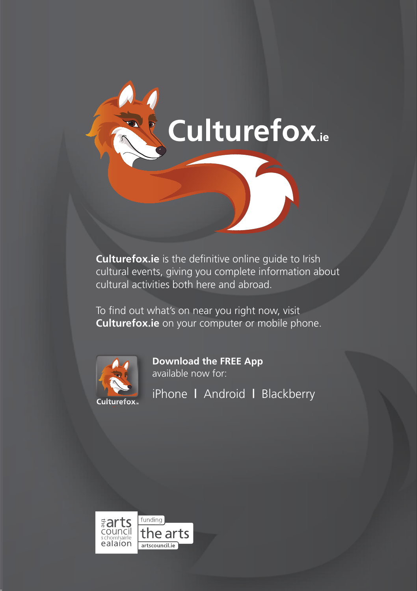

**Culturefox.ie** is the definitive online guide to Irish cultural events, giving you complete information about cultural activities both here and abroad.

To find out what's on near you right now, visit **Culturefox.ie** on your computer or mobile phone.



**Download the FREE App** available now for:

iPhone **|** Android **|** Blackberry